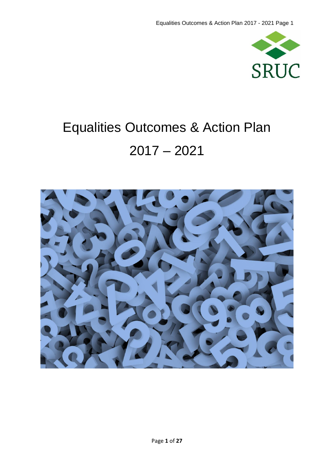

## Equalities Outcomes & Action Plan 2017 – 2021

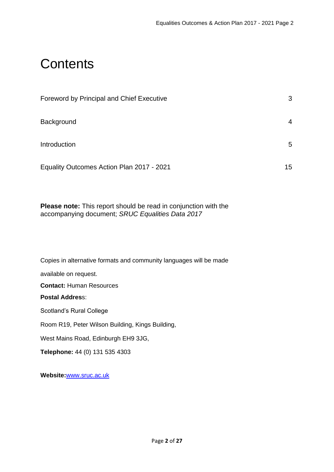### **Contents**

| <b>Foreword by Principal and Chief Executive</b> | 3  |
|--------------------------------------------------|----|
| Background                                       | 4  |
| Introduction                                     | 5  |
| Equality Outcomes Action Plan 2017 - 2021        | 15 |

**Please note:** This report should be read in conjunction with the accompanying document; *SRUC Equalities Data 2017*

Copies in alternative formats and community languages will be made

available on request.

**Contact:** Human Resources

#### **Postal Addres**s:

Scotland's Rural College

Room R19, Peter Wilson Building, Kings Building,

West Mains Road, Edinburgh EH9 3JG,

**Telephone:** 44 (0) 131 535 4303

**Website:**[www.sruc.ac.uk](http://www.sruc.ac.uk/)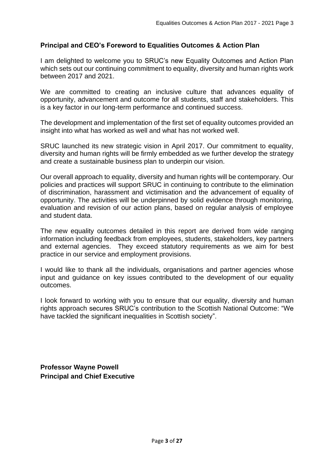#### **Principal and CEO's Foreword to Equalities Outcomes & Action Plan**

I am delighted to welcome you to SRUC's new Equality Outcomes and Action Plan which sets out our continuing commitment to equality, diversity and human rights work between 2017 and 2021.

We are committed to creating an inclusive culture that advances equality of opportunity, advancement and outcome for all students, staff and stakeholders. This is a key factor in our long-term performance and continued success.

The development and implementation of the first set of equality outcomes provided an insight into what has worked as well and what has not worked well.

SRUC launched its new strategic vision in April 2017. Our commitment to equality, diversity and human rights will be firmly embedded as we further develop the strategy and create a sustainable business plan to underpin our vision.

Our overall approach to equality, diversity and human rights will be contemporary. Our policies and practices will support SRUC in continuing to contribute to the elimination of discrimination, harassment and victimisation and the advancement of equality of opportunity. The activities will be underpinned by solid evidence through monitoring, evaluation and revision of our action plans, based on regular analysis of employee and student data.

The new equality outcomes detailed in this report are derived from wide ranging information including feedback from employees, students, stakeholders, key partners and external agencies. They exceed statutory requirements as we aim for best practice in our service and employment provisions.

I would like to thank all the individuals, organisations and partner agencies whose input and guidance on key issues contributed to the development of our equality outcomes.

I look forward to working with you to ensure that our equality, diversity and human rights approach secures SRUC's contribution to the Scottish National Outcome: "We have tackled the significant inequalities in Scottish society".

**Professor Wayne Powell Principal and Chief Executive**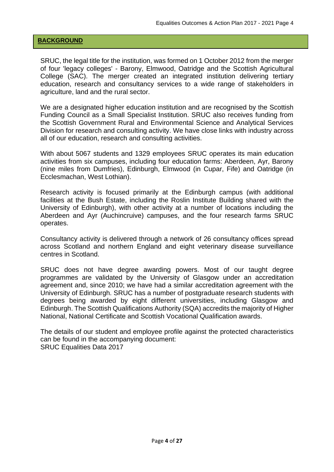#### **BACKGROUND**

SRUC, the legal title for the institution, was formed on 1 October 2012 from the merger of four 'legacy colleges' - Barony, Elmwood, Oatridge and the Scottish Agricultural College (SAC). The merger created an integrated institution delivering tertiary education, research and consultancy services to a wide range of stakeholders in agriculture, land and the rural sector.

We are a designated higher education institution and are recognised by the Scottish Funding Council as a Small Specialist Institution. SRUC also receives funding from the Scottish Government Rural and Environmental Science and Analytical Services Division for research and consulting activity. We have close links with industry across all of our education, research and consulting activities.

With about 5067 students and 1329 employees SRUC operates its main education activities from six campuses, including four education farms: Aberdeen, Ayr, Barony (nine miles from Dumfries), Edinburgh, Elmwood (in Cupar, Fife) and Oatridge (in Ecclesmachan, West Lothian).

Research activity is focused primarily at the Edinburgh campus (with additional facilities at the Bush Estate, including the Roslin Institute Building shared with the University of Edinburgh), with other activity at a number of locations including the Aberdeen and Ayr (Auchincruive) campuses, and the four research farms SRUC operates.

Consultancy activity is delivered through a network of 26 consultancy offices spread across Scotland and northern England and eight veterinary disease surveillance centres in Scotland.

SRUC does not have degree awarding powers. Most of our taught degree programmes are validated by the University of Glasgow under an accreditation agreement and, since 2010; we have had a similar accreditation agreement with the University of Edinburgh. SRUC has a number of postgraduate research students with degrees being awarded by eight different universities, including Glasgow and Edinburgh. The Scottish Qualifications Authority (SQA) accredits the majority of Higher National, National Certificate and Scottish Vocational Qualification awards.

The details of our student and employee profile against the protected characteristics can be found in the accompanying document: SRUC Equalities Data 2017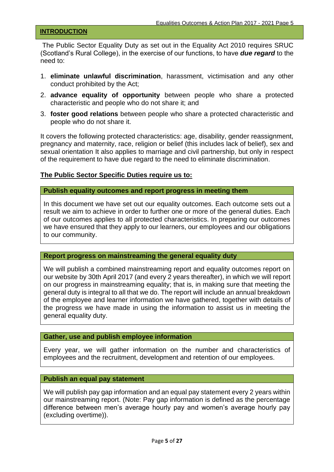#### **INTRODUCTION**

The Public Sector Equality Duty as set out in the Equality Act 2010 requires SRUC (Scotland's Rural College), in the exercise of our functions, to have *due regard* to the need to:

- 1. **eliminate unlawful discrimination**, harassment, victimisation and any other conduct prohibited by the Act;
- 2. **advance equality of opportunity** between people who share a protected characteristic and people who do not share it; and
- 3. **foster good relations** between people who share a protected characteristic and people who do not share it.

It covers the following protected characteristics: age, disability, gender reassignment, pregnancy and maternity, race, religion or belief (this includes lack of belief), sex and sexual orientation It also applies to marriage and civil partnership, but only in respect of the requirement to have due regard to the need to eliminate discrimination.

#### **The Public Sector Specific Duties require us to:**

#### **Publish equality outcomes and report progress in meeting them**

In this document we have set out our equality outcomes. Each outcome sets out a result we aim to achieve in order to further one or more of the general duties. Each of our outcomes applies to all protected characteristics. In preparing our outcomes we have ensured that they apply to our learners, our employees and our obligations to our community.

#### **Report progress on mainstreaming the general equality duty**

We will publish a combined mainstreaming report and equality outcomes report on our website by 30th April 2017 (and every 2 years thereafter), in which we will report on our progress in mainstreaming equality; that is, in making sure that meeting the general duty is integral to all that we do. The report will include an annual breakdown of the employee and learner information we have gathered, together with details of the progress we have made in using the information to assist us in meeting the general equality duty.

#### **Gather, use and publish employee information**

Every year, we will gather information on the number and characteristics of employees and the recruitment, development and retention of our employees.

#### **Publish an equal pay statement**

We will publish pay gap information and an equal pay statement every 2 years within our mainstreaming report. (Note: Pay gap information is defined as the percentage difference between men's average hourly pay and women's average hourly pay (excluding overtime)).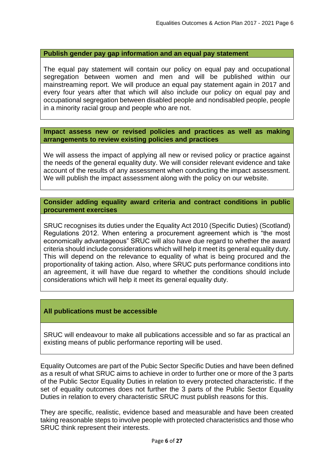#### **Publish gender pay gap information and an equal pay statement**

The equal pay statement will contain our policy on equal pay and occupational segregation between women and men and will be published within our mainstreaming report. We will produce an equal pay statement again in 2017 and every four years after that which will also include our policy on equal pay and occupational segregation between disabled people and nondisabled people, people in a minority racial group and people who are not.

#### **Impact assess new or revised policies and practices as well as making arrangements to review existing policies and practices**

We will assess the impact of applying all new or revised policy or practice against the needs of the general equality duty. We will consider relevant evidence and take account of the results of any assessment when conducting the impact assessment. We will publish the impact assessment along with the policy on our website.

#### **Consider adding equality award criteria and contract conditions in public procurement exercises**

SRUC recognises its duties under the Equality Act 2010 (Specific Duties) (Scotland) Regulations 2012. When entering a procurement agreement which is "the most economically advantageous" SRUC will also have due regard to whether the award criteria should include considerations which will help it meet its general equality duty. This will depend on the relevance to equality of what is being procured and the proportionality of taking action. Also, where SRUC puts performance conditions into an agreement, it will have due regard to whether the conditions should include considerations which will help it meet its general equality duty.

#### **All publications must be accessible**

SRUC will endeavour to make all publications accessible and so far as practical an existing means of public performance reporting will be used.

Equality Outcomes are part of the Pubic Sector Specific Duties and have been defined as a result of what SRUC aims to achieve in order to further one or more of the 3 parts of the Public Sector Equality Duties in relation to every protected characteristic. If the set of equality outcomes does not further the 3 parts of the Public Sector Equality Duties in relation to every characteristic SRUC must publish reasons for this.

They are specific, realistic, evidence based and measurable and have been created taking reasonable steps to involve people with protected characteristics and those who SRUC think represent their interests.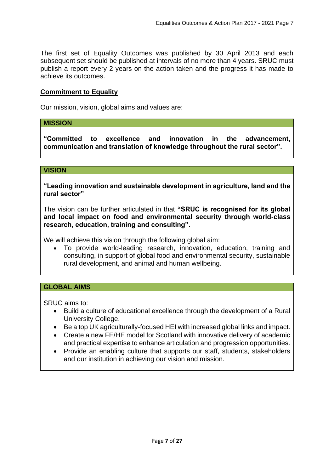The first set of Equality Outcomes was published by 30 April 2013 and each subsequent set should be published at intervals of no more than 4 years. SRUC must publish a report every 2 years on the action taken and the progress it has made to achieve its outcomes.

#### **Commitment to Equality**

Our mission, vision, global aims and values are:

#### **MISSION**

**"Committed to excellence and innovation in the advancement, communication and translation of knowledge throughout the rural sector".**

#### **VISION**

**"Leading innovation and sustainable development in agriculture, land and the rural sector"**

The vision can be further articulated in that **"SRUC is recognised for its global and local impact on food and environmental security through world-class research, education, training and consulting"**.

We will achieve this vision through the following global aim:

• To provide world-leading research, innovation, education, training and consulting, in support of global food and environmental security, sustainable rural development, and animal and human wellbeing.

#### **GLOBAL AIMS**

SRUC aims to:

- Build a culture of educational excellence through the development of a Rural University College.
- Be a top UK agriculturally-focused HEI with increased global links and impact.
- Create a new FE/HE model for Scotland with innovative delivery of academic and practical expertise to enhance articulation and progression opportunities.
- Provide an enabling culture that supports our staff, students, stakeholders and our institution in achieving our vision and mission.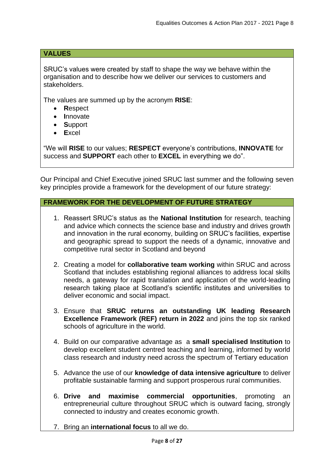#### **VALUES**

SRUC's values were created by staff to shape the way we behave within the organisation and to describe how we deliver our services to customers and stakeholders.

The values are summed up by the acronym **RISE**:

- **R**espect
- **I**nnovate
- **S**upport
- **E**xcel

"We will **RISE** to our values; **RESPECT** everyone's contributions, **INNOVATE** for success and **SUPPORT** each other to **EXCEL** in everything we do".

Our Principal and Chief Executive joined SRUC last summer and the following seven key principles provide a framework for the development of our future strategy:

#### **FRAMEWORK FOR THE DEVELOPMENT OF FUTURE STRATEGY**

- 1. Reassert SRUC's status as the **National Institution** for research, teaching and advice which connects the science base and industry and drives growth and innovation in the rural economy, building on SRUC's facilities, expertise and geographic spread to support the needs of a dynamic, innovative and competitive rural sector in Scotland and beyond
- 2. Creating a model for **collaborative team working** within SRUC and across Scotland that includes establishing regional alliances to address local skills needs, a gateway for rapid translation and application of the world-leading research taking place at Scotland's scientific institutes and universities to deliver economic and social impact.
- 3. Ensure that **SRUC returns an outstanding UK leading Research Excellence Framework (REF) return in 2022** and joins the top six ranked schools of agriculture in the world.
- 4. Build on our comparative advantage as a **small specialised Institution** to develop excellent student centred teaching and learning, informed by world class research and industry need across the spectrum of Tertiary education
- 5. Advance the use of our **knowledge of data intensive agriculture** to deliver profitable sustainable farming and support prosperous rural communities.
- 6. **Drive and maximise commercial opportunities**, promoting an entrepreneurial culture throughout SRUC which is outward facing, strongly connected to industry and creates economic growth.
- 7. Bring an **international focus** to all we do.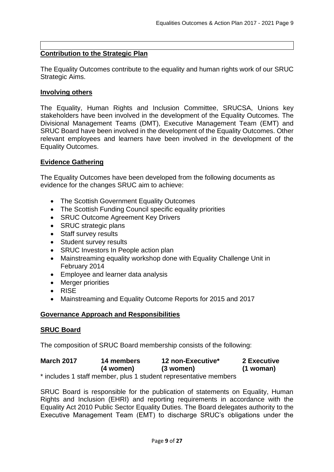#### **Contribution to the Strategic Plan**

The Equality Outcomes contribute to the equality and human rights work of our SRUC Strategic Aims.

#### **Involving others**

The Equality, Human Rights and Inclusion Committee, SRUCSA, Unions key stakeholders have been involved in the development of the Equality Outcomes. The Divisional Management Teams (DMT), Executive Management Team (EMT) and SRUC Board have been involved in the development of the Equality Outcomes. Other relevant employees and learners have been involved in the development of the Equality Outcomes.

#### **Evidence Gathering**

The Equality Outcomes have been developed from the following documents as evidence for the changes SRUC aim to achieve:

- The Scottish Government Equality Outcomes
- The Scottish Funding Council specific equality priorities
- SRUC Outcome Agreement Key Drivers
- SRUC strategic plans
- Staff survey results
- Student survey results
- SRUC Investors In People action plan
- Mainstreaming equality workshop done with Equality Challenge Unit in February 2014
- Employee and learner data analysis
- Merger priorities
- RISE
- Mainstreaming and Equality Outcome Reports for 2015 and 2017

#### **Governance Approach and Responsibilities**

#### **SRUC Board**

The composition of SRUC Board membership consists of the following:

| <b>March 2017</b> | 14 members | 12 non-Executive*                                               | 2 Executive    |
|-------------------|------------|-----------------------------------------------------------------|----------------|
|                   | (4 women)  | (3 women)                                                       | $(1$ woman $)$ |
|                   |            | * included 1 atoff member plus 1 student representative members |                |

includes 1 staff member, plus 1 student representative members

SRUC Board is responsible for the publication of statements on Equality, Human Rights and Inclusion (EHRI) and reporting requirements in accordance with the Equality Act 2010 Public Sector Equality Duties. The Board delegates authority to the Executive Management Team (EMT) to discharge SRUC's obligations under the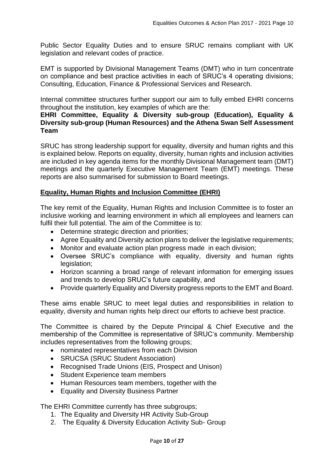Public Sector Equality Duties and to ensure SRUC remains compliant with UK legislation and relevant codes of practice.

EMT is supported by Divisional Management Teams (DMT) who in turn concentrate on compliance and best practice activities in each of SRUC's 4 operating divisions; Consulting, Education, Finance & Professional Services and Research.

Internal committee structures further support our aim to fully embed EHRI concerns throughout the institution, key examples of which are the:

#### **EHRI Committee, Equality & Diversity sub-group (Education), Equality & Diversity sub-group (Human Resources) and the Athena Swan Self Assessment Team**

SRUC has strong leadership support for equality, diversity and human rights and this is explained below. Reports on equality, diversity, human rights and inclusion activities are included in key agenda items for the monthly Divisional Management team (DMT) meetings and the quarterly Executive Management Team (EMT) meetings. These reports are also summarised for submission to Board meetings.

#### **Equality, Human Rights and Inclusion Committee (EHRI)**

The key remit of the Equality, Human Rights and Inclusion Committee is to foster an inclusive working and learning environment in which all employees and learners can fulfil their full potential. The aim of the Committee is to:

- Determine strategic direction and priorities;
- Agree Equality and Diversity action plans to deliver the legislative requirements;
- Monitor and evaluate action plan progress made in each division;
- Oversee SRUC's compliance with equality, diversity and human rights legislation;
- Horizon scanning a broad range of relevant information for emerging issues and trends to develop SRUC's future capability, and
- Provide quarterly Equality and Diversity progress reports to the EMT and Board.

These aims enable SRUC to meet legal duties and responsibilities in relation to equality, diversity and human rights help direct our efforts to achieve best practice.

The Committee is chaired by the Depute Principal & Chief Executive and the membership of the Committee is representative of SRUC's community. Membership includes representatives from the following groups;

- nominated representatives from each Division
- SRUCSA (SRUC Student Association)
- Recognised Trade Unions (EIS, Prospect and Unison)
- Student Experience team members
- Human Resources team members, together with the
- Equality and Diversity Business Partner

The EHRI Committee currently has three subgroups;

- 1. The Equality and Diversity HR Activity Sub-Group
- 2. The Equality & Diversity Education Activity Sub- Group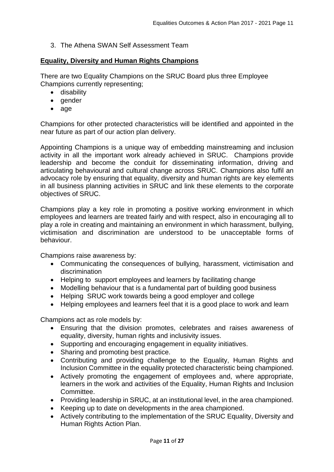3. The Athena SWAN Self Assessment Team

#### **Equality, Diversity and Human Rights Champions**

There are two Equality Champions on the SRUC Board plus three Employee Champions currently representing;

- disability
- gender
- age

Champions for other protected characteristics will be identified and appointed in the near future as part of our action plan delivery.

Appointing Champions is a unique way of embedding mainstreaming and inclusion activity in all the important work already achieved in SRUC. Champions provide leadership and become the conduit for disseminating information, driving and articulating behavioural and cultural change across SRUC. Champions also fulfil an advocacy role by ensuring that equality, diversity and human rights are key elements in all business planning activities in SRUC and link these elements to the corporate objectives of SRUC.

Champions play a key role in promoting a positive working environment in which employees and learners are treated fairly and with respect, also in encouraging all to play a role in creating and maintaining an environment in which harassment, bullying, victimisation and discrimination are understood to be unacceptable forms of behaviour.

Champions raise awareness by:

- Communicating the consequences of bullying, harassment, victimisation and discrimination
- Helping to support employees and learners by facilitating change
- Modelling behaviour that is a fundamental part of building good business
- Helping SRUC work towards being a good employer and college
- Helping employees and learners feel that it is a good place to work and learn

Champions act as role models by:

- Ensuring that the division promotes, celebrates and raises awareness of equality, diversity, human rights and inclusivity issues.
- Supporting and encouraging engagement in equality initiatives.
- Sharing and promoting best practice.
- Contributing and providing challenge to the Equality, Human Rights and Inclusion Committee in the equality protected characteristic being championed.
- Actively promoting the engagement of employees and, where appropriate, learners in the work and activities of the Equality, Human Rights and Inclusion Committee.
- Providing leadership in SRUC, at an institutional level, in the area championed.
- Keeping up to date on developments in the area championed.
- Actively contributing to the implementation of the SRUC Equality, Diversity and Human Rights Action Plan.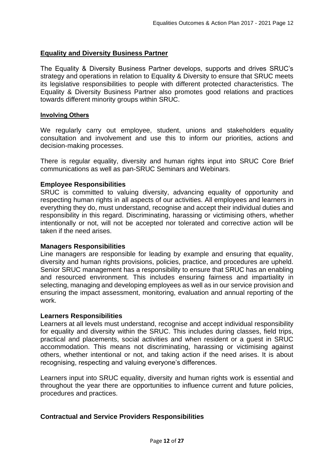#### **Equality and Diversity Business Partner**

The Equality & Diversity Business Partner develops, supports and drives SRUC's strategy and operations in relation to Equality & Diversity to ensure that SRUC meets its legislative responsibilities to people with different protected characteristics. The Equality & Diversity Business Partner also promotes good relations and practices towards different minority groups within SRUC.

#### **Involving Others**

We regularly carry out employee, student, unions and stakeholders equality consultation and involvement and use this to inform our priorities, actions and decision-making processes.

There is regular equality, diversity and human rights input into SRUC Core Brief communications as well as pan-SRUC Seminars and Webinars.

#### **Employee Responsibilities**

SRUC is committed to valuing diversity, advancing equality of opportunity and respecting human rights in all aspects of our activities. All employees and learners in everything they do, must understand, recognise and accept their individual duties and responsibility in this regard. Discriminating, harassing or victimising others, whether intentionally or not, will not be accepted nor tolerated and corrective action will be taken if the need arises.

#### **Managers Responsibilities**

Line managers are responsible for leading by example and ensuring that equality, diversity and human rights provisions, policies, practice, and procedures are upheld. Senior SRUC management has a responsibility to ensure that SRUC has an enabling and resourced environment. This includes ensuring fairness and impartiality in selecting, managing and developing employees as well as in our service provision and ensuring the impact assessment, monitoring, evaluation and annual reporting of the work.

#### **Learners Responsibilities**

Learners at all levels must understand, recognise and accept individual responsibility for equality and diversity within the SRUC. This includes during classes, field trips, practical and placements, social activities and when resident or a guest in SRUC accommodation. This means not discriminating, harassing or victimising against others, whether intentional or not, and taking action if the need arises. It is about recognising, respecting and valuing everyone's differences.

Learners input into SRUC equality, diversity and human rights work is essential and throughout the year there are opportunities to influence current and future policies, procedures and practices.

#### **Contractual and Service Providers Responsibilities**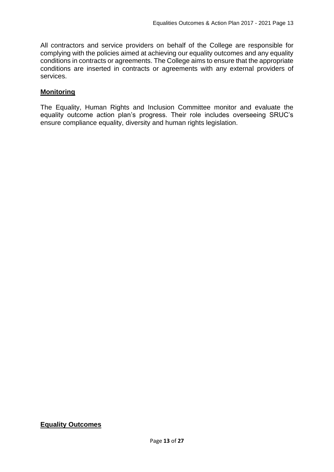All contractors and service providers on behalf of the College are responsible for complying with the policies aimed at achieving our equality outcomes and any equality conditions in contracts or agreements. The College aims to ensure that the appropriate conditions are inserted in contracts or agreements with any external providers of services.

#### **Monitoring**

The Equality, Human Rights and Inclusion Committee monitor and evaluate the equality outcome action plan's progress. Their role includes overseeing SRUC's ensure compliance equality, diversity and human rights legislation.

#### **Equality Outcomes**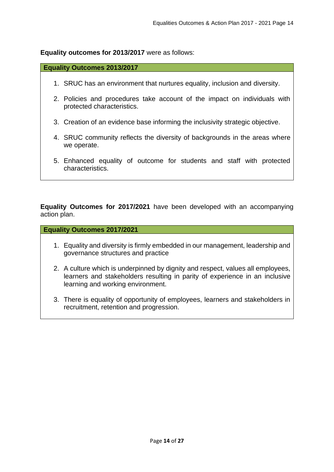#### **Equality outcomes for 2013/2017** were as follows:

#### **Equality Outcomes 2013/2017**

- 1. SRUC has an environment that nurtures equality, inclusion and diversity.
- 2. Policies and procedures take account of the impact on individuals with protected characteristics.
- 3. Creation of an evidence base informing the inclusivity strategic objective.
- 4. SRUC community reflects the diversity of backgrounds in the areas where we operate.
- 5. Enhanced equality of outcome for students and staff with protected characteristics.

**Equality Outcomes for 2017/2021** have been developed with an accompanying action plan.

#### **Equality Outcomes 2017/2021**

- 1. Equality and diversity is firmly embedded in our management, leadership and governance structures and practice
- 2. A culture which is underpinned by dignity and respect, values all employees, learners and stakeholders resulting in parity of experience in an inclusive learning and working environment.
- 3. There is equality of opportunity of employees, learners and stakeholders in recruitment, retention and progression.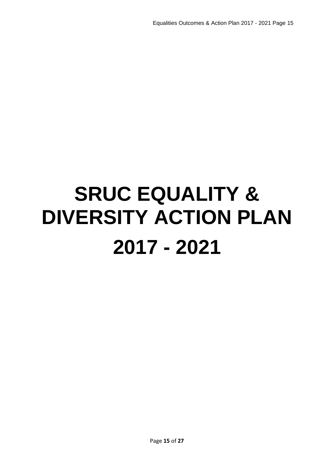# **SRUC EQUALITY & DIVERSITY ACTION PLAN 2017 - 2021**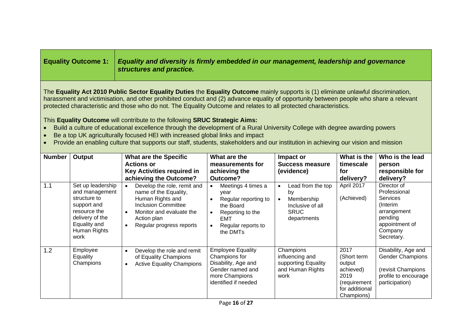| Equality Outcome 1: Equality and diversity is firmly embedded in our management, leadership and governance<br>structures and practice. |
|----------------------------------------------------------------------------------------------------------------------------------------|
|                                                                                                                                        |

The **Equality Act 2010 Public Sector Equality Duties** the **Equality Outcome** mainly supports is (1) eliminate unlawful discrimination, harassment and victimisation, and other prohibited conduct and (2) advance equality of opportunity between people who share a relevant protected characteristic and those who do not. The Equality Outcome and relates to all protected characteristics.

This **Equality Outcome** will contribute to the following **SRUC Strategic Aims:**

- Build a culture of educational excellence through the development of a Rural University College with degree awarding powers
- Be a top UK agriculturally focused HEI with increased global links and impact
- Provide an enabling culture that supports our staff, students, stakeholders and our institution in achieving our vision and mission

| <b>Number</b> | Output                                                                                                                                        | <b>What are the Specific</b><br><b>Actions or</b><br>Key Activities required in<br>achieving the Outcome?                                                                                                            | What are the<br>measurements for<br>achieving the<br>Outcome?                                                                       | Impact or<br><b>Success measure</b><br>(evidence)                                       | What is the<br>timescale<br>for<br>delivery?                                                       | Who is the lead<br>person<br>responsible for<br>delivery?                                                                       |
|---------------|-----------------------------------------------------------------------------------------------------------------------------------------------|----------------------------------------------------------------------------------------------------------------------------------------------------------------------------------------------------------------------|-------------------------------------------------------------------------------------------------------------------------------------|-----------------------------------------------------------------------------------------|----------------------------------------------------------------------------------------------------|---------------------------------------------------------------------------------------------------------------------------------|
| 1.1           | Set up leadership<br>and management<br>structure to<br>support and<br>resource the<br>delivery of the<br>Equality and<br>Human Rights<br>work | Develop the role, remit and<br>$\bullet$<br>name of the Equality,<br>Human Rights and<br><b>Inclusion Committee</b><br>Monitor and evaluate the<br>$\bullet$<br>Action plan<br>Regular progress reports<br>$\bullet$ | Meetings 4 times a<br>year<br>Regular reporting to<br>the Board<br>Reporting to the<br><b>EMT</b><br>Regular reports to<br>the DMTs | Lead from the top<br>by<br>Membership<br>Inclusive of all<br><b>SRUC</b><br>departments | April 2017<br>(Achieved)                                                                           | Director of<br>Professional<br><b>Services</b><br>(Interim<br>arrangement<br>pending<br>appointment of<br>Company<br>Secretary. |
| 1.2           | Employee<br>Equality<br>Champions                                                                                                             | Develop the role and remit<br>$\bullet$<br>of Equality Champions<br><b>Active Equality Champions</b><br>$\bullet$                                                                                                    | <b>Employee Equality</b><br>Champions for<br>Disability, Age and<br>Gender named and<br>more Champions<br>identified if needed      | Champions<br>influencing and<br>supporting Equality<br>and Human Rights<br>work         | 2017<br>(Short term<br>output<br>achieved)<br>2019<br>(requirement<br>for additional<br>Champions) | Disability, Age and<br><b>Gender Champions</b><br>(revisit Champions<br>profile to encourage<br>participation)                  |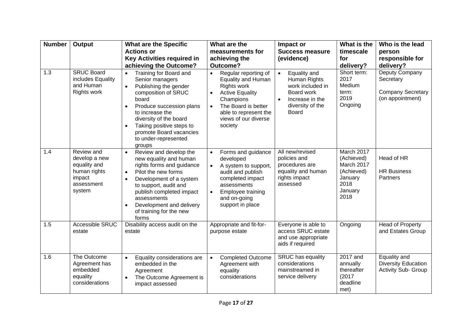| <b>Number</b> | <b>Output</b>                                                                                 | <b>What are the Specific</b><br><b>Actions or</b><br>Key Activities required in<br>achieving the Outcome?                                                                                                                                                                                                                | What are the<br>measurements for<br>achieving the<br>Outcome?                                                                                                                                                              | Impact or<br><b>Success measure</b><br>(evidence)                                                                                  | What is the<br>timescale<br>for<br>delivery?                                               | Who is the lead<br>person<br>responsible for<br>delivery?                   |
|---------------|-----------------------------------------------------------------------------------------------|--------------------------------------------------------------------------------------------------------------------------------------------------------------------------------------------------------------------------------------------------------------------------------------------------------------------------|----------------------------------------------------------------------------------------------------------------------------------------------------------------------------------------------------------------------------|------------------------------------------------------------------------------------------------------------------------------------|--------------------------------------------------------------------------------------------|-----------------------------------------------------------------------------|
| 1.3           | <b>SRUC Board</b><br>includes Equality<br>and Human<br>Rights work                            | Training for Board and<br>$\bullet$<br>Senior managers<br>Publishing the gender<br>$\bullet$<br>composition of SRUC<br>board<br>Produce succession plans<br>$\bullet$<br>to increase the<br>diversity of the board<br>Taking positive steps to<br>$\bullet$<br>promote Board vacancies<br>to under-represented<br>groups | Regular reporting of<br>$\bullet$<br>Equality and Human<br>Rights work<br><b>Active Equality</b><br>$\bullet$<br>Champions<br>The Board is better<br>$\bullet$<br>able to represent the<br>views of our diverse<br>society | Equality and<br>Human Rights<br>work included in<br>Board work<br>$\bullet$<br>Increase in the<br>diversity of the<br><b>Board</b> | Short term:<br>2017<br>Medium<br>term:<br>2019<br>Ongoing                                  | Deputy Company<br>Secretary<br><b>Company Secretary</b><br>(on appointment) |
| 1.4           | Review and<br>develop a new<br>equality and<br>human rights<br>impact<br>assessment<br>system | Review and develop the<br>$\bullet$<br>new equality and human<br>rights forms and guidance<br>Pilot the new forms<br>$\bullet$<br>Development of a system<br>$\bullet$<br>to support, audit and<br>publish completed impact<br>assessments<br>Development and delivery<br>$\bullet$<br>of training for the new<br>forms  | Forms and guidance<br>$\bullet$<br>developed<br>A system to support,<br>$\bullet$<br>audit and publish<br>completed impact<br>assessments<br>Employee training<br>$\bullet$<br>and on-going<br>support in place            | All new/revised<br>policies and<br>procedures are<br>equality and human<br>rights impact<br>assessed                               | March 2017<br>(Achieved)<br>March 2017<br>(Achieved)<br>January<br>2018<br>January<br>2018 | Head of HR<br><b>HR Business</b><br>Partners                                |
| 1.5           | <b>Accessible SRUC</b><br>estate                                                              | Disability access audit on the<br>estate                                                                                                                                                                                                                                                                                 | Appropriate and fit-for-<br>purpose estate                                                                                                                                                                                 | Everyone is able to<br>access SRUC estate<br>and use appropriate<br>aids if required                                               | Ongoing                                                                                    | <b>Head of Property</b><br>and Estates Group                                |
| 1.6           | The Outcome<br>Agreement has<br>embedded<br>equality<br>considerations                        | Equality considerations are<br>$\bullet$<br>embedded in the<br>Agreement<br>The Outcome Agreement is<br>$\bullet$<br>impact assessed                                                                                                                                                                                     | <b>Completed Outcome</b><br>$\bullet$<br>Agreement with<br>equality<br>considerations                                                                                                                                      | SRUC has equality<br>considerations<br>mainstreamed in<br>service delivery                                                         | 2017 and<br>annually<br>thereafter<br>(2017)<br>deadline<br>met)                           | Equality and<br><b>Diversity Education</b><br>Activity Sub- Group           |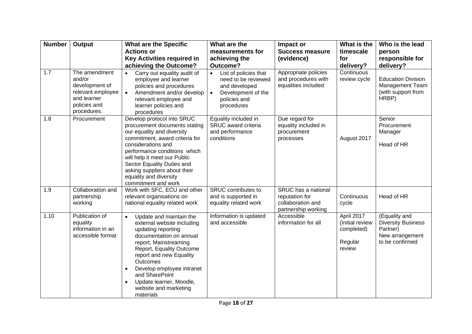| <b>Number</b> | Output                                                                                                       | <b>What are the Specific</b>                                                                                                                                                                                                                                                                                                                              | What are the                                                                                                                                | Impact or                                                                         | What is the                                                      | Who is the lead                                                                              |
|---------------|--------------------------------------------------------------------------------------------------------------|-----------------------------------------------------------------------------------------------------------------------------------------------------------------------------------------------------------------------------------------------------------------------------------------------------------------------------------------------------------|---------------------------------------------------------------------------------------------------------------------------------------------|-----------------------------------------------------------------------------------|------------------------------------------------------------------|----------------------------------------------------------------------------------------------|
|               |                                                                                                              | <b>Actions or</b>                                                                                                                                                                                                                                                                                                                                         | measurements for                                                                                                                            | <b>Success measure</b>                                                            | timescale                                                        | person                                                                                       |
|               |                                                                                                              | <b>Key Activities required in</b>                                                                                                                                                                                                                                                                                                                         | achieving the                                                                                                                               | (evidence)                                                                        | for                                                              | responsible for                                                                              |
|               |                                                                                                              | achieving the Outcome?                                                                                                                                                                                                                                                                                                                                    | Outcome?                                                                                                                                    |                                                                                   | delivery?                                                        | delivery?                                                                                    |
| 1.7           | The amendment<br>and/or<br>development of<br>relevant employee<br>and learner<br>policies and<br>procedures. | Carry out equality audit of<br>$\bullet$<br>employee and learner<br>policies and procedures<br>Amendment and/or develop<br>$\bullet$<br>relevant employee and<br>learner policies and<br>procedures                                                                                                                                                       | List of policies that<br>$\bullet$<br>need to be reviewed<br>and developed<br>Development of the<br>$\bullet$<br>policies and<br>procedures | Appropriate policies<br>and procedures with<br>equalities included                | Continuous<br>review cycle                                       | <b>Education Division</b><br><b>Management Team</b><br>(with support from<br>HRBP)           |
| 1.8           | Procurement                                                                                                  | Develop protocol into SRUC<br>procurement documents stating<br>our equality and diversity<br>commitment, award criteria for<br>considerations and<br>performance conditions which<br>will help it meet our Public<br>Sector Equality Duties and<br>asking suppliers about their<br>equality and diversity<br>commitment and work                          | Equality included in<br>SRUC award criteria<br>and performance<br>conditions                                                                | Due regard for<br>equality included in<br>procurement<br>processes                | August 2017                                                      | Senior<br>Procurement<br>Manager<br>Head of HR                                               |
| 1.9           | Collaboration and<br>partnership<br>working                                                                  | Work with SFC, ECU and other<br>relevant organisations on<br>national equality related work                                                                                                                                                                                                                                                               | <b>SRUC</b> contributes to<br>and is supported in<br>equality related work                                                                  | SRUC has a national<br>reputation for<br>collaboration and<br>partnership working | Continuous<br>cycle                                              | Head of HR                                                                                   |
| 1.10          | Publication of<br>equality<br>information in an<br>accessible format                                         | Update and maintain the<br>$\bullet$<br>external website including<br>updating reporting<br>documentation on annual<br>report, Mainstreaming<br>Report, Equality Outcome<br>report and new Equality<br>Outcomes<br>Develop employee intranet<br>$\bullet$<br>and SharePoint<br>Update learner, Moodle,<br>$\bullet$<br>website and marketing<br>materials | Information is updated<br>and accessible                                                                                                    | Accessible<br>information for all                                                 | April 2017<br>(Initial review<br>completed)<br>Regular<br>review | (Equality and<br><b>Diversity Business</b><br>Partner)<br>New arrangement<br>to be confirmed |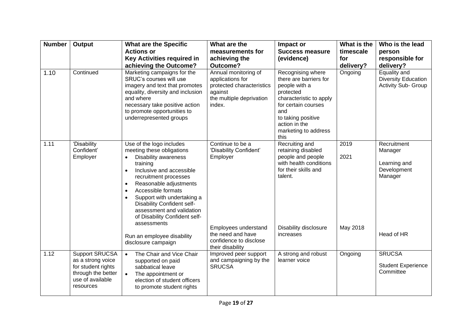| <b>Number</b> | <b>Output</b>                                                                                                           | <b>What are the Specific</b><br><b>Actions or</b><br><b>Key Activities required in</b><br>achieving the Outcome?                                                                                                                                                                                                                                                                                                                                                            | What are the<br>measurements for<br>achieving the<br>Outcome?                                                                                     | Impact or<br><b>Success measure</b><br>(evidence)                                                                                                                                                         | What is the<br>timescale<br>for<br>delivery? | Who is the lead<br>person<br>responsible for<br>delivery?                      |
|---------------|-------------------------------------------------------------------------------------------------------------------------|-----------------------------------------------------------------------------------------------------------------------------------------------------------------------------------------------------------------------------------------------------------------------------------------------------------------------------------------------------------------------------------------------------------------------------------------------------------------------------|---------------------------------------------------------------------------------------------------------------------------------------------------|-----------------------------------------------------------------------------------------------------------------------------------------------------------------------------------------------------------|----------------------------------------------|--------------------------------------------------------------------------------|
| 1.10          | Continued                                                                                                               | Marketing campaigns for the<br>SRUC's courses will use<br>imagery and text that promotes<br>equality, diversity and inclusion<br>and where<br>necessary take positive action<br>to promote opportunities to<br>underrepresented groups                                                                                                                                                                                                                                      | Annual monitoring of<br>applications for<br>protected characteristics<br>against<br>the multiple deprivation<br>index.                            | Recognising where<br>there are barriers for<br>people with a<br>protected<br>characteristic to apply<br>for certain courses<br>and<br>to taking positive<br>action in the<br>marketing to address<br>this | Ongoing                                      | Equality and<br><b>Diversity Education</b><br><b>Activity Sub- Group</b>       |
| 1.11          | 'Disability<br>Confident'<br>Employer                                                                                   | Use of the logo includes<br>meeting these obligations<br><b>Disability awareness</b><br>$\bullet$<br>training<br>Inclusive and accessible<br>$\bullet$<br>recruitment processes<br>Reasonable adjustments<br>$\bullet$<br>Accessible formats<br>$\bullet$<br>Support with undertaking a<br>$\bullet$<br><b>Disability Confident self-</b><br>assessment and validation<br>of Disability Confident self-<br>assessments<br>Run an employee disability<br>disclosure campaign | Continue to be a<br>'Disability Confident'<br>Employer<br>Employees understand<br>the need and have<br>confidence to disclose<br>their disability | Recruiting and<br>retaining disabled<br>people and people<br>with health conditions<br>for their skills and<br>talent.<br>Disability disclosure<br>increases                                              | 2019<br>2021<br>May 2018                     | Recruitment<br>Manager<br>Learning and<br>Development<br>Manager<br>Head of HR |
| 1.12          | <b>Support SRUCSA</b><br>as a strong voice<br>for student rights<br>through the better<br>use of available<br>resources | The Chair and Vice Chair<br>$\bullet$<br>supported on paid<br>sabbatical leave<br>The appointment or<br>$\bullet$<br>election of student officers<br>to promote student rights                                                                                                                                                                                                                                                                                              | Improved peer support<br>and campaigning by the<br><b>SRUCSA</b>                                                                                  | A strong and robust<br>learner voice                                                                                                                                                                      | Ongoing                                      | <b>SRUCSA</b><br><b>Student Experience</b><br>Committee                        |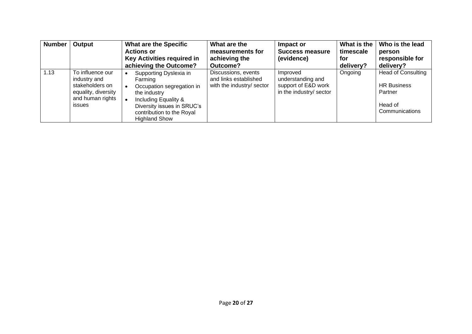| <b>Number</b> | Output                                                                                                          | <b>What are the Specific</b><br><b>Actions or</b><br>Key Activities required in<br>achieving the Outcome?                                                                                 | What are the<br>measurements for<br>achieving the<br>Outcome?             | Impact or<br><b>Success measure</b><br>(evidence)                               | What is the<br>timescale<br>for<br>delivery? | Who is the lead<br>person<br>responsible for<br>delivery?                               |
|---------------|-----------------------------------------------------------------------------------------------------------------|-------------------------------------------------------------------------------------------------------------------------------------------------------------------------------------------|---------------------------------------------------------------------------|---------------------------------------------------------------------------------|----------------------------------------------|-----------------------------------------------------------------------------------------|
| 1.13          | To influence our<br>industry and<br>stakeholders on<br>equality, diversity<br>and human rights<br><i>issues</i> | Supporting Dyslexia in<br>Farming<br>Occupation segregation in<br>the industry<br>Including Equality &<br>Diversity issues in SRUC's<br>contribution to the Royal<br><b>Highland Show</b> | Discussions, events<br>and links established<br>with the industry/ sector | Improved<br>understanding and<br>support of E&D work<br>in the industry/ sector | Ongoing                                      | <b>Head of Consulting</b><br><b>HR Business</b><br>Partner<br>Head of<br>Communications |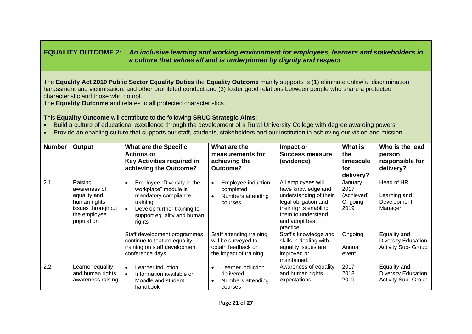**EQUALITY OUTCOME 2**: *An inclusive learning and working environment for employees, learners and stakeholders in a culture that values all and is underpinned by dignity and respect*

The **Equality Act 2010 Public Sector Equality Duties** the **Equality Outcome** mainly supports is (1) eliminate unlawful discrimination, harassment and victimisation, and other prohibited conduct and (3) foster good relations between people who share a protected characteristic and those who do not.

The **Equality Outcome** and relates to all protected characteristics.

This **Equality Outcome** will contribute to the following **SRUC Strategic Aims**:

- Build a culture of educational excellence through the development of a Rural University College with degree awarding powers
- Provide an enabling culture that supports our staff, students, stakeholders and our institution in achieving our vision and mission

| <b>Number</b> | Output                                                                                                     | <b>What are the Specific</b><br><b>Actions or</b><br><b>Key Activities required in</b><br>achieving the Outcome?                                                                        | What are the<br>measurements for<br>achieving the<br>Outcome?                                   | Impact or<br><b>Success measure</b><br>(evidence)                                                                                                                       | <b>What is</b><br>the<br>timescale<br>for<br>delivery? | Who is the lead<br>person<br>responsible for<br>delivery?                |
|---------------|------------------------------------------------------------------------------------------------------------|-----------------------------------------------------------------------------------------------------------------------------------------------------------------------------------------|-------------------------------------------------------------------------------------------------|-------------------------------------------------------------------------------------------------------------------------------------------------------------------------|--------------------------------------------------------|--------------------------------------------------------------------------|
| 2.1           | Raising<br>awareness of<br>equality and<br>human rights<br>issues throughout<br>the employee<br>population | Employee "Diversity in the<br>$\bullet$<br>workplace" module is<br>mandatory compliance<br>training<br>Develop further training to<br>$\bullet$<br>support equality and human<br>rights | Employee induction<br>completed<br>Numbers attending<br>courses                                 | All employees will<br>have knowledge and<br>understanding of their<br>legal obligation and<br>their rights enabling<br>them to understand<br>and adopt best<br>practice | January<br>2017<br>(Achieved)<br>Ongoing -<br>2019     | Head of HR<br>Learning and<br>Development<br>Manager                     |
|               |                                                                                                            | Staff development programmes<br>continue to feature equality<br>training on staff development<br>conference days.                                                                       | Staff attending training<br>will be surveyed to<br>obtain feedback on<br>the impact of training | Staff's knowledge and<br>skills in dealing with<br>equality issues are<br>improved or<br>maintained.                                                                    | Ongoing<br>Annual<br>event                             | Equality and<br><b>Diversity Education</b><br><b>Activity Sub- Group</b> |
| 2.2           | Learner equality<br>and human rights<br>awareness raising                                                  | Learner induction<br>$\bullet$<br>Information available on<br>$\bullet$<br>Moodle and student<br>handbook                                                                               | Learner induction<br>delivered<br>Numbers attending<br>courses                                  | Awareness of equality<br>and human rights<br>expectations                                                                                                               | 2017<br>2018<br>2019                                   | Equality and<br><b>Diversity Education</b><br><b>Activity Sub- Group</b> |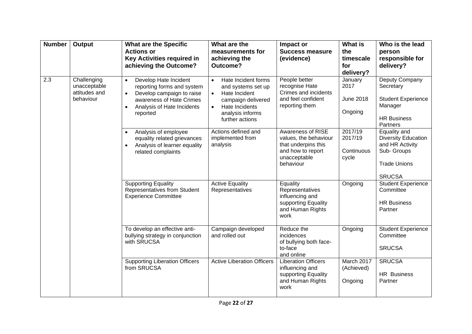| <b>Number</b>    | Output                                                    | <b>What are the Specific</b><br><b>Actions or</b><br>Key Activities required in<br>achieving the Outcome?                                                                                     | What are the<br>measurements for<br>achieving the<br>Outcome?                                                                                                                    | Impact or<br><b>Success measure</b><br>(evidence)                                                                   | <b>What is</b><br>the<br>timescale<br>for<br>delivery? | Who is the lead<br>person<br>responsible for<br>delivery?                                                            |
|------------------|-----------------------------------------------------------|-----------------------------------------------------------------------------------------------------------------------------------------------------------------------------------------------|----------------------------------------------------------------------------------------------------------------------------------------------------------------------------------|---------------------------------------------------------------------------------------------------------------------|--------------------------------------------------------|----------------------------------------------------------------------------------------------------------------------|
| $\overline{2.3}$ | Challenging<br>unacceptable<br>attitudes and<br>behaviour | Develop Hate Incident<br>$\bullet$<br>reporting forms and system<br>Develop campaign to raise<br>$\bullet$<br>awareness of Hate Crimes<br>Analysis of Hate Incidents<br>$\bullet$<br>reported | Hate Incident forms<br>$\bullet$<br>and systems set up<br>Hate Incident<br>$\bullet$<br>campaign delivered<br>Hate Incidents<br>$\bullet$<br>analysis informs<br>further actions | People better<br>recognise Hate<br>Crimes and incidents<br>and feel confident<br>reporting them                     | January<br>2017<br><b>June 2018</b><br>Ongoing         | Deputy Company<br>Secretary<br><b>Student Experience</b><br>Manager<br><b>HR Business</b><br>Partners                |
|                  |                                                           | Analysis of employee<br>equality related grievances<br>Analysis of learner equality<br>$\bullet$<br>related complaints                                                                        | Actions defined and<br>implemented from<br>analysis                                                                                                                              | Awareness of RISE<br>values, the behaviour<br>that underpins this<br>and how to report<br>unacceptable<br>behaviour | 2017/19<br>2017/19<br>Continuous<br>cycle              | Equality and<br><b>Diversity Education</b><br>and HR Activity<br>Sub- Groups<br><b>Trade Unions</b><br><b>SRUCSA</b> |
|                  |                                                           | <b>Supporting Equality</b><br>Representatives from Student<br><b>Experience Committee</b>                                                                                                     | <b>Active Equality</b><br>Representatives                                                                                                                                        | Equality<br>Representatives<br>influencing and<br>supporting Equality<br>and Human Rights<br>work                   | Ongoing                                                | <b>Student Experience</b><br>Committee<br><b>HR Business</b><br>Partner                                              |
|                  |                                                           | To develop an effective anti-<br>bullying strategy in conjunction<br>with SRUCSA                                                                                                              | Campaign developed<br>and rolled out                                                                                                                                             | Reduce the<br>incidences<br>of bullying both face-<br>to-face<br>and online                                         | Ongoing                                                | <b>Student Experience</b><br>Committee<br><b>SRUCSA</b>                                                              |
|                  |                                                           | <b>Supporting Liberation Officers</b><br>from SRUCSA                                                                                                                                          | <b>Active Liberation Officers</b>                                                                                                                                                | <b>Liberation Officers</b><br>influencing and<br>supporting Equality<br>and Human Rights<br>work                    | March 2017<br>(Achieved)<br>Ongoing                    | <b>SRUCSA</b><br><b>HR Business</b><br>Partner                                                                       |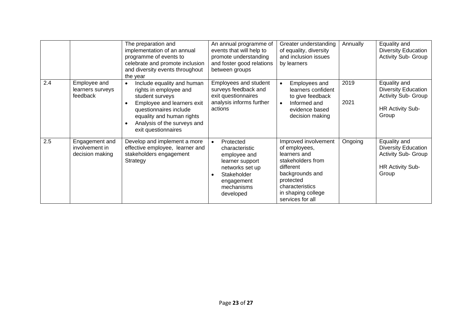|     |                                                     | The preparation and<br>implementation of an annual<br>programme of events to<br>celebrate and promote inclusion<br>and diversity events throughout<br>the year                                                                                            | An annual programme of<br>events that will help to<br>promote understanding<br>and foster good relations<br>between groups                             | Greater understanding<br>of equality, diversity<br>and inclusion issues<br>by learners                                                                                               | Annually     | Equality and<br>Diversity Education<br><b>Activity Sub- Group</b>                                     |
|-----|-----------------------------------------------------|-----------------------------------------------------------------------------------------------------------------------------------------------------------------------------------------------------------------------------------------------------------|--------------------------------------------------------------------------------------------------------------------------------------------------------|--------------------------------------------------------------------------------------------------------------------------------------------------------------------------------------|--------------|-------------------------------------------------------------------------------------------------------|
| 2.4 | Employee and<br>learners surveys<br>feedback        | Include equality and human<br>$\bullet$<br>rights in employee and<br>student surveys<br>Employee and learners exit<br>$\bullet$<br>questionnaires include<br>equality and human rights<br>Analysis of the surveys and<br>$\bullet$<br>exit questionnaires | Employees and student<br>surveys feedback and<br>exit questionnaires<br>analysis informs further<br>actions                                            | Employees and<br>$\bullet$<br>learners confident<br>to give feedback<br>Informed and<br>$\bullet$<br>evidence based<br>decision making                                               | 2019<br>2021 | Equality and<br><b>Diversity Education</b><br>Activity Sub- Group<br><b>HR Activity Sub-</b><br>Group |
| 2.5 | Engagement and<br>involvement in<br>decision making | Develop and implement a more<br>effective employee, learner and<br>stakeholders engagement<br>Strategy                                                                                                                                                    | Protected<br>$\bullet$<br>characteristic<br>employee and<br>learner support<br>networks set up<br>Stakeholder<br>engagement<br>mechanisms<br>developed | Improved involvement<br>of employees,<br>learners and<br>stakeholders from<br>different<br>backgrounds and<br>protected<br>characteristics<br>in shaping college<br>services for all | Ongoing      | Equality and<br><b>Diversity Education</b><br>Activity Sub- Group<br>HR Activity Sub-<br>Group        |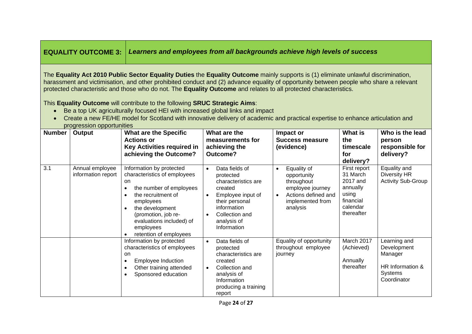**EQUALITY OUTCOME 3:** *Learners and employees from all backgrounds achieve high levels of success*

The **Equality Act 2010 Public Sector Equality Duties** the **Equality Outcome** mainly supports is (1) eliminate unlawful discrimination, harassment and victimisation, and other prohibited conduct and (2) advance equality of opportunity between people who share a relevant protected characteristic and those who do not. The **Equality Outcome** and relates to all protected characteristics.

This **Equality Outcome** will contribute to the following **SRUC Strategic Aims**:

- Be a top UK agriculturally focused HEI with increased global links and impact
- Create a new FE/HE model for Scotland with innovative delivery of academic and practical expertise to enhance articulation and progression opportunities

| <b>Number</b> | Output                                | <b>What are the Specific</b><br><b>Actions or</b><br>Key Activities required in<br>achieving the Outcome?                                                                                                                                                                  | What are the<br>measurements for<br>achieving the<br>Outcome?                                                                                                                                 | Impact or<br><b>Success measure</b><br>(evidence)                                                                                | <b>What is</b><br>the<br>timescale<br>for<br>delivery?                                           | Who is the lead<br>person<br>responsible for<br>delivery?                            |
|---------------|---------------------------------------|----------------------------------------------------------------------------------------------------------------------------------------------------------------------------------------------------------------------------------------------------------------------------|-----------------------------------------------------------------------------------------------------------------------------------------------------------------------------------------------|----------------------------------------------------------------------------------------------------------------------------------|--------------------------------------------------------------------------------------------------|--------------------------------------------------------------------------------------|
| 3.1           | Annual employee<br>information report | Information by protected<br>characteristics of employees<br><b>on</b><br>the number of employees<br>the recruitment of<br>$\bullet$<br>employees<br>the development<br>$\bullet$<br>(promotion, job re-<br>evaluations included) of<br>employees<br>retention of employees | Data fields of<br>$\bullet$<br>protected<br>characteristics are<br>created<br>Employee input of<br>$\bullet$<br>their personal<br>information<br>Collection and<br>analysis of<br>Information | Equality of<br>$\bullet$<br>opportunity<br>throughout<br>employee journey<br>Actions defined and<br>implemented from<br>analysis | First report<br>31 March<br>2017 and<br>annually<br>using<br>financial<br>calendar<br>thereafter | Equality and<br>Diversity HR<br><b>Activity Sub-Group</b>                            |
|               |                                       | Information by protected<br>characteristics of employees<br><b>on</b><br><b>Employee Induction</b><br>Other training attended<br>Sponsored education                                                                                                                       | Data fields of<br>$\bullet$<br>protected<br>characteristics are<br>created<br>Collection and<br>$\bullet$<br>analysis of<br>Information<br>producing a training<br>report                     | Equality of opportunity<br>throughout employee<br>journey                                                                        | March 2017<br>(Achieved)<br>Annually<br>thereafter                                               | Learning and<br>Development<br>Manager<br>HR Information &<br>Systems<br>Coordinator |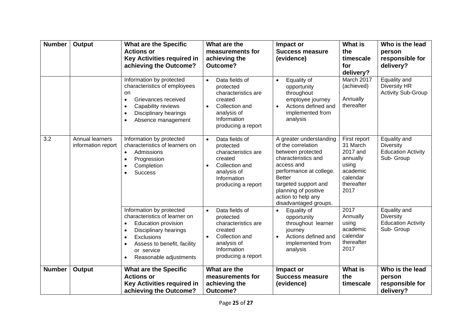| <b>Number</b> | <b>Output</b>                         | <b>What are the Specific</b><br><b>Actions or</b><br><b>Key Activities required in</b><br>achieving the Outcome?                                                                                                                                                 | What are the<br>measurements for<br>achieving the<br>Outcome?                                                                                                 | Impact or<br><b>Success measure</b><br>(evidence)                                                                                                                                                                                                  | <b>What is</b><br>the<br>timescale<br>for<br>delivery?                                                  | Who is the lead<br>person<br>responsible for<br>delivery?                   |
|---------------|---------------------------------------|------------------------------------------------------------------------------------------------------------------------------------------------------------------------------------------------------------------------------------------------------------------|---------------------------------------------------------------------------------------------------------------------------------------------------------------|----------------------------------------------------------------------------------------------------------------------------------------------------------------------------------------------------------------------------------------------------|---------------------------------------------------------------------------------------------------------|-----------------------------------------------------------------------------|
|               |                                       | Information by protected<br>characteristics of employees<br>on<br>Grievances received<br>$\bullet$<br>Capability reviews<br>$\bullet$<br>Disciplinary hearings<br>$\bullet$<br>Absence management<br>$\bullet$                                                   | Data fields of<br>$\bullet$<br>protected<br>characteristics are<br>created<br>Collection and<br>$\bullet$<br>analysis of<br>Information<br>producing a report | Equality of<br>$\bullet$<br>opportunity<br>throughout<br>employee journey<br>Actions defined and<br>implemented from<br>analysis                                                                                                                   | March 2017<br>(achieved)<br>Annually<br>thereafter                                                      | Equality and<br>Diversity HR<br><b>Activity Sub-Group</b>                   |
| 3.2           | Annual learners<br>information report | Information by protected<br>characteristics of learners on<br>Admissions<br>$\bullet$<br>Progression<br>$\bullet$<br>Completion<br>$\bullet$<br><b>Success</b>                                                                                                   | Data fields of<br>$\bullet$<br>protected<br>characteristics are<br>created<br>Collection and<br>analysis of<br>Information<br>producing a report              | A greater understanding<br>of the correlation<br>between protected<br>characteristics and<br>access and<br>performance at college.<br><b>Better</b><br>targeted support and<br>planning of positive<br>action to help any<br>disadvantaged groups. | First report<br>31 March<br>2017 and<br>annually<br>using<br>academic<br>calendar<br>thereafter<br>2017 | Equality and<br><b>Diversity</b><br><b>Education Activity</b><br>Sub- Group |
|               |                                       | Information by protected<br>characteristics of learner on<br><b>Education provision</b><br>$\bullet$<br><b>Disciplinary hearings</b><br>$\bullet$<br>Exclusions<br>$\bullet$<br>Assess to benefit, facility<br>$\bullet$<br>or service<br>Reasonable adjustments | Data fields of<br>$\bullet$<br>protected<br>characteristics are<br>created<br>Collection and<br>$\bullet$<br>analysis of<br>Information<br>producing a report | Equality of<br>opportunity<br>throughout learner<br>journey<br>Actions defined and<br>implemented from<br>analysis                                                                                                                                 | 2017<br>Annually<br>using<br>academic<br>calendar<br>thereafter<br>2017                                 | Equality and<br>Diversity<br><b>Education Activity</b><br>Sub- Group        |
| <b>Number</b> | <b>Output</b>                         | <b>What are the Specific</b><br><b>Actions or</b><br><b>Key Activities required in</b><br>achieving the Outcome?                                                                                                                                                 | What are the<br>measurements for<br>achieving the<br>Outcome?                                                                                                 | Impact or<br><b>Success measure</b><br>(evidence)                                                                                                                                                                                                  | <b>What is</b><br>the<br>timescale                                                                      | Who is the lead<br>person<br>responsible for<br>delivery?                   |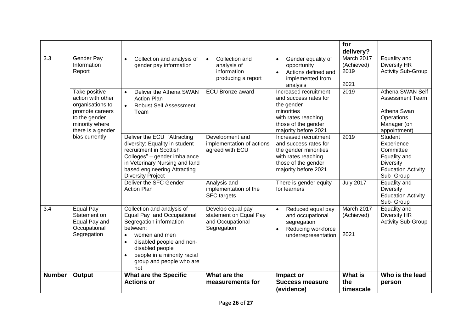|               |                                                                                                                                   |                                                                                                                                                                                                                                                                          |                                                                                 |                                                                                                                                                  | for<br>delivery?                         |                                                                                                                   |
|---------------|-----------------------------------------------------------------------------------------------------------------------------------|--------------------------------------------------------------------------------------------------------------------------------------------------------------------------------------------------------------------------------------------------------------------------|---------------------------------------------------------------------------------|--------------------------------------------------------------------------------------------------------------------------------------------------|------------------------------------------|-------------------------------------------------------------------------------------------------------------------|
| 3.3           | Gender Pay<br>Information<br>Report                                                                                               | Collection and analysis of<br>$\bullet$<br>gender pay information                                                                                                                                                                                                        | Collection and<br>$\bullet$<br>analysis of<br>information<br>producing a report | Gender equality of<br>$\bullet$<br>opportunity<br>Actions defined and<br>$\bullet$<br>implemented from<br>analysis                               | March 2017<br>(Achieved)<br>2019<br>2021 | Equality and<br><b>Diversity HR</b><br><b>Activity Sub-Group</b>                                                  |
|               | Take positive<br>action with other<br>organisations to<br>promote careers<br>to the gender<br>minority where<br>there is a gender | Deliver the Athena SWAN<br>$\bullet$<br><b>Action Plan</b><br><b>Robust Self Assessment</b><br>$\bullet$<br>Team                                                                                                                                                         | <b>ECU Bronze award</b>                                                         | Increased recruitment<br>and success rates for<br>the gender<br>minorities<br>with rates reaching<br>those of the gender<br>majority before 2021 | 2019                                     | Athena SWAN Self<br><b>Assessment Team</b><br>Athena Swan<br>Operations<br>Manager (on<br>appointment)            |
|               | bias currently                                                                                                                    | Deliver the ECU "Attracting<br>diversity: Equality in student<br>recruitment in Scottish<br>Colleges" - gender imbalance<br>in Veterinary Nursing and land<br>based engineering Attracting<br><b>Diversity Project</b>                                                   | Development and<br>implementation of actions<br>agreed with ECU                 | Increased recruitment<br>and success rates for<br>the gender minorities<br>with rates reaching<br>those of the gender<br>majority before 2021    | 2019                                     | <b>Student</b><br>Experience<br>Committee<br>Equality and<br>Diversity<br><b>Education Activity</b><br>Sub- Group |
|               |                                                                                                                                   | Deliver the SFC Gender<br><b>Action Plan</b>                                                                                                                                                                                                                             | Analysis and<br>implementation of the<br><b>SFC</b> targets                     | There is gender equity<br>for learners                                                                                                           | <b>July 2017</b>                         | Equality and<br><b>Diversity</b><br><b>Education Activity</b><br>Sub- Group                                       |
| 3.4           | Equal Pay<br>Statement on<br>Equal Pay and<br>Occupational<br>Segregation                                                         | Collection and analysis of<br>Equal Pay and Occupational<br>Segregation information<br>between:<br>women and men<br>$\bullet$<br>disabled people and non-<br>$\bullet$<br>disabled people<br>people in a minority racial<br>$\bullet$<br>group and people who are<br>not | Develop equal pay<br>statement on Equal Pay<br>and Occupational<br>Segregation  | Reduced equal pay<br>$\bullet$<br>and occupational<br>segregation<br>Reducing workforce<br>underrepresentation                                   | March 2017<br>(Achieved)<br>2021         | Equality and<br>Diversity HR<br><b>Activity Sub-Group</b>                                                         |
| <b>Number</b> | Output                                                                                                                            | <b>What are the Specific</b><br><b>Actions or</b>                                                                                                                                                                                                                        | What are the<br>measurements for                                                | Impact or<br><b>Success measure</b><br>(evidence)                                                                                                | <b>What is</b><br>the<br>timescale       | Who is the lead<br>person                                                                                         |